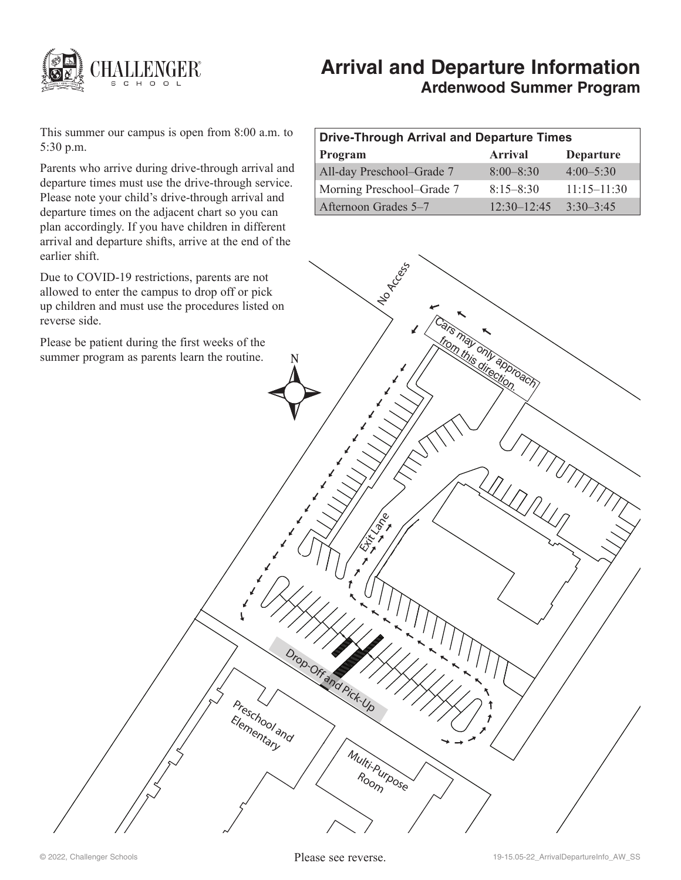

# **Arrival and Departure Information Ardenwood Summer Program**

This summer our campus is open from 8:00 a.m. to 5:30 p.m.

Parents who arrive during drive-through arrival and departure times must use the drive-through service. Please note your child's drive-through arrival and departure times on the adjacent chart so you can plan accordingly. If you have children in different arrival and departure shifts, arrive at the end of the earlier shift.

Due to COVID-19 restrictions, parents are not allowed to enter the campus to drop off or pick up children and must use the procedures listed on reverse side.

Please be patient during the first weeks of the summer program as parents learn the routine.

| <b>Drive-Through Arrival and Departure Times</b> |                 |                  |
|--------------------------------------------------|-----------------|------------------|
| Program                                          | <b>Arrival</b>  | <b>Departure</b> |
| All-day Preschool-Grade 7                        | $8:00 - 8:30$   | $4:00 - 5:30$    |
| Morning Preschool–Grade 7                        | $8:15 - 8:30$   | $11:15 - 11:30$  |
| Afternoon Grades 5-7                             | $12:30 - 12:45$ | $3:30-3:45$      |